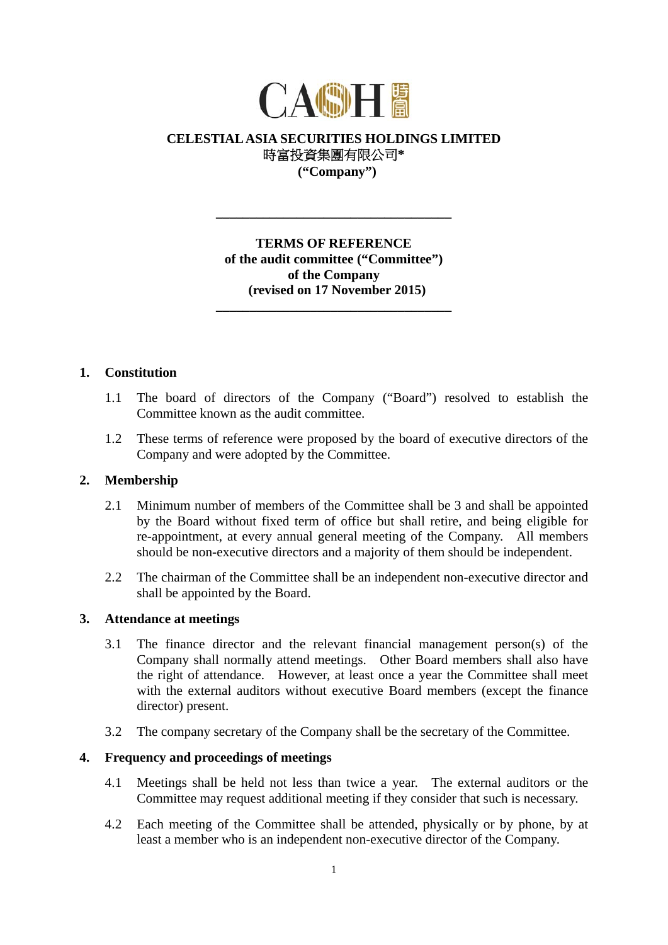

# **CELESTIAL ASIA SECURITIES HOLDINGS LIMITED**  時富投資集團有限公司**\* ("Company")**

**TERMS OF REFERENCE of the audit committee ("Committee") of the Company (revised on 17 November 2015)** 

**\_\_\_\_\_\_\_\_\_\_\_\_\_\_\_\_\_\_\_\_\_\_\_\_\_\_\_\_\_\_\_\_\_\_\_** 

**\_\_\_\_\_\_\_\_\_\_\_\_\_\_\_\_\_\_\_\_\_\_\_\_\_\_\_\_\_\_\_\_\_\_\_** 

### **1. Constitution**

- 1.1 The board of directors of the Company ("Board") resolved to establish the Committee known as the audit committee.
- 1.2 These terms of reference were proposed by the board of executive directors of the Company and were adopted by the Committee.

## **2. Membership**

- 2.1 Minimum number of members of the Committee shall be 3 and shall be appointed by the Board without fixed term of office but shall retire, and being eligible for re-appointment, at every annual general meeting of the Company. All members should be non-executive directors and a majority of them should be independent.
- 2.2 The chairman of the Committee shall be an independent non-executive director and shall be appointed by the Board.

### **3. Attendance at meetings**

- 3.1 The finance director and the relevant financial management person(s) of the Company shall normally attend meetings. Other Board members shall also have the right of attendance. However, at least once a year the Committee shall meet with the external auditors without executive Board members (except the finance director) present.
- 3.2 The company secretary of the Company shall be the secretary of the Committee.

#### **4. Frequency and proceedings of meetings**

- 4.1 Meetings shall be held not less than twice a year. The external auditors or the Committee may request additional meeting if they consider that such is necessary.
- 4.2 Each meeting of the Committee shall be attended, physically or by phone, by at least a member who is an independent non-executive director of the Company.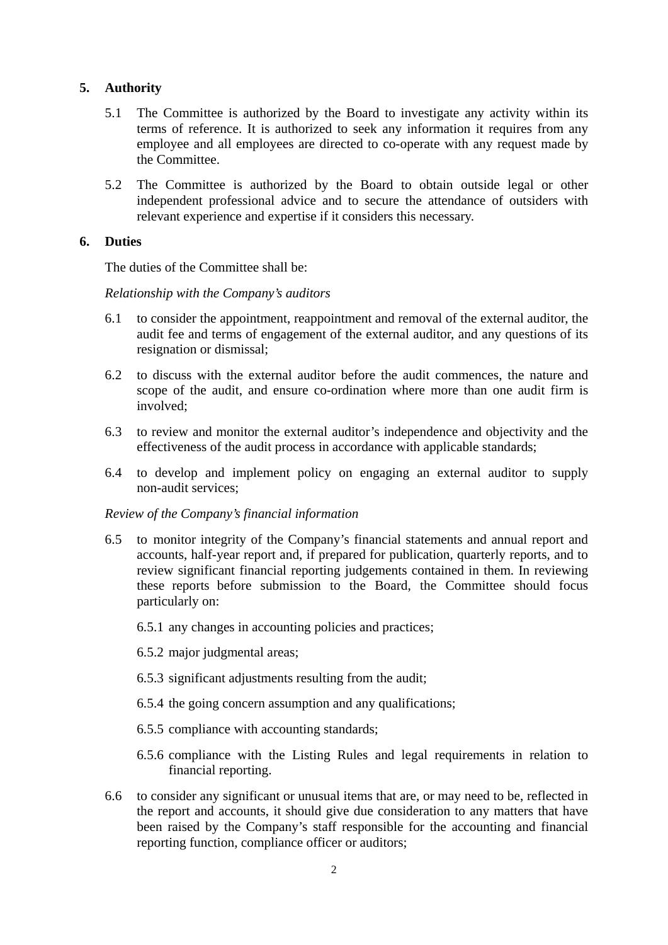# **5. Authority**

- 5.1 The Committee is authorized by the Board to investigate any activity within its terms of reference. It is authorized to seek any information it requires from any employee and all employees are directed to co-operate with any request made by the Committee.
- 5.2 The Committee is authorized by the Board to obtain outside legal or other independent professional advice and to secure the attendance of outsiders with relevant experience and expertise if it considers this necessary.

## **6. Duties**

The duties of the Committee shall be:

*Relationship with the Company's auditors* 

- 6.1 to consider the appointment, reappointment and removal of the external auditor, the audit fee and terms of engagement of the external auditor, and any questions of its resignation or dismissal;
- 6.2 to discuss with the external auditor before the audit commences, the nature and scope of the audit, and ensure co-ordination where more than one audit firm is involved;
- 6.3 to review and monitor the external auditor's independence and objectivity and the effectiveness of the audit process in accordance with applicable standards;
- 6.4 to develop and implement policy on engaging an external auditor to supply non-audit services;

## *Review of the Company's financial information*

- 6.5 to monitor integrity of the Company's financial statements and annual report and accounts, half-year report and, if prepared for publication, quarterly reports, and to review significant financial reporting judgements contained in them. In reviewing these reports before submission to the Board, the Committee should focus particularly on:
	- 6.5.1 any changes in accounting policies and practices;
	- 6.5.2 major judgmental areas;
	- 6.5.3 significant adjustments resulting from the audit;
	- 6.5.4 the going concern assumption and any qualifications;
	- 6.5.5 compliance with accounting standards;
	- 6.5.6 compliance with the Listing Rules and legal requirements in relation to financial reporting.
- 6.6 to consider any significant or unusual items that are, or may need to be, reflected in the report and accounts, it should give due consideration to any matters that have been raised by the Company's staff responsible for the accounting and financial reporting function, compliance officer or auditors;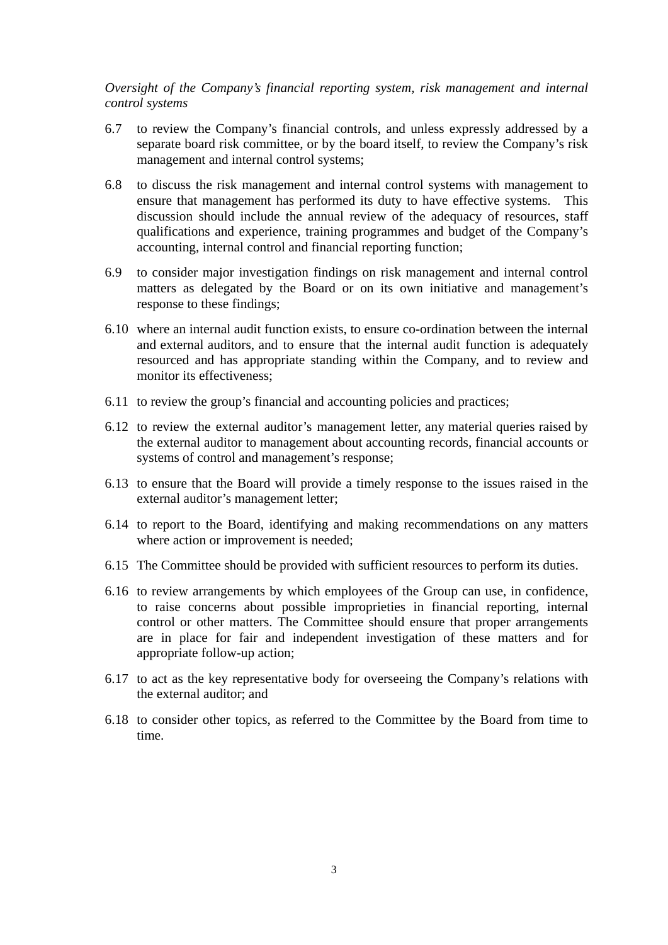*Oversight of the Company's financial reporting system, risk management and internal control systems* 

- 6.7 to review the Company's financial controls, and unless expressly addressed by a separate board risk committee, or by the board itself, to review the Company's risk management and internal control systems;
- 6.8 to discuss the risk management and internal control systems with management to ensure that management has performed its duty to have effective systems. This discussion should include the annual review of the adequacy of resources, staff qualifications and experience, training programmes and budget of the Company's accounting, internal control and financial reporting function;
- 6.9 to consider major investigation findings on risk management and internal control matters as delegated by the Board or on its own initiative and management's response to these findings;
- 6.10 where an internal audit function exists, to ensure co-ordination between the internal and external auditors, and to ensure that the internal audit function is adequately resourced and has appropriate standing within the Company, and to review and monitor its effectiveness;
- 6.11 to review the group's financial and accounting policies and practices;
- 6.12 to review the external auditor's management letter, any material queries raised by the external auditor to management about accounting records, financial accounts or systems of control and management's response;
- 6.13 to ensure that the Board will provide a timely response to the issues raised in the external auditor's management letter;
- 6.14 to report to the Board, identifying and making recommendations on any matters where action or improvement is needed;
- 6.15 The Committee should be provided with sufficient resources to perform its duties.
- 6.16 to review arrangements by which employees of the Group can use, in confidence, to raise concerns about possible improprieties in financial reporting, internal control or other matters. The Committee should ensure that proper arrangements are in place for fair and independent investigation of these matters and for appropriate follow-up action;
- 6.17 to act as the key representative body for overseeing the Company's relations with the external auditor; and
- 6.18 to consider other topics, as referred to the Committee by the Board from time to time.